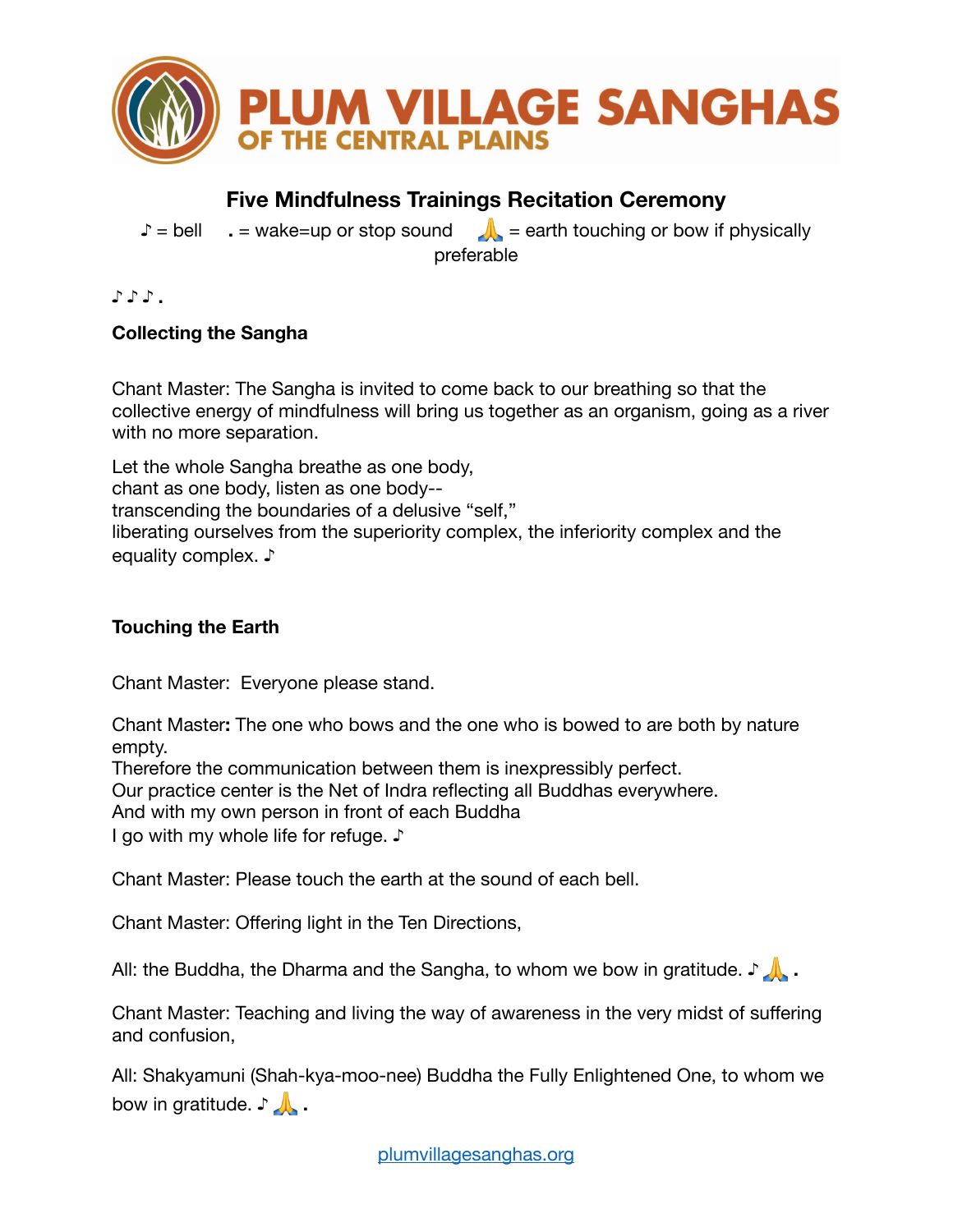

# **Five Mindfulness Trainings Recitation Ceremony**

**♪** = bell **.** = wake=up or stop sound **A** = earth touching or bow if physically preferable

**♪ ♪ ♪ .** 

## **Collecting the Sangha**

Chant Master: The Sangha is invited to come back to our breathing so that the collective energy of mindfulness will bring us together as an organism, going as a river with no more separation.

Let the whole Sangha breathe as one body, chant as one body, listen as one body- transcending the boundaries of a delusive "self," liberating ourselves from the superiority complex, the inferiority complex and the equality complex. **♪**

# **Touching the Earth**

Chant Master: Everyone please stand.

Chant Master**:** The one who bows and the one who is bowed to are both by nature empty.

Therefore the communication between them is inexpressibly perfect.

Our practice center is the Net of Indra reflecting all Buddhas everywhere.

And with my own person in front of each Buddha

I go with my whole life for refuge. **♪**

Chant Master: Please touch the earth at the sound of each bell.

Chant Master: Offering light in the Ten Directions,

All: the Buddha, the Dharma and the Sangha, to whom we bow in gratitude. **♪ .**

Chant Master: Teaching and living the way of awareness in the very midst of suffering and confusion,

All: Shakyamuni (Shah-kya-moo-nee) Buddha the Fully Enlightened One, to whom we **bow in gratitude. ♪**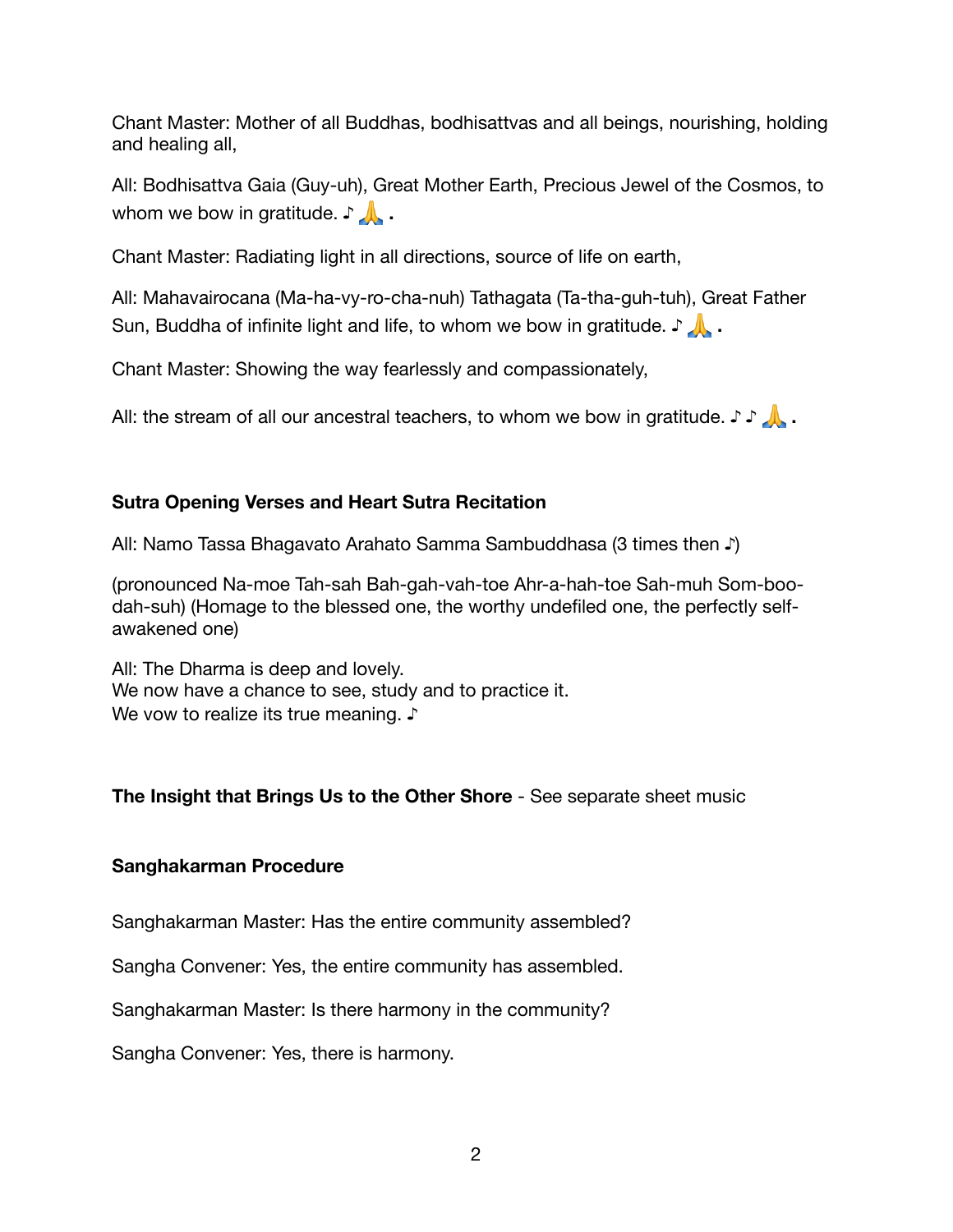Chant Master: Mother of all Buddhas, bodhisattvas and all beings, nourishing, holding and healing all,

All: Bodhisattva Gaia (Guy-uh), Great Mother Earth, Precious Jewel of the Cosmos, to whom we bow in gratitude. **♪ .**

Chant Master: Radiating light in all directions, source of life on earth,

All: Mahavairocana (Ma-ha-vy-ro-cha-nuh) Tathagata (Ta-tha-guh-tuh), Great Father Sun, Buddha of infinite light and life, to whom we bow in gratitude. **♪ .**

Chant Master: Showing the way fearlessly and compassionately,

All: the stream of all our ancestral teachers, to whom we bow in gratitude. **♪ ♪ .**

### **Sutra Opening Verses and Heart Sutra Recitation**

All: Namo Tassa Bhagavato Arahato Samma Sambuddhasa (3 times then **♪**)

(pronounced Na-moe Tah-sah Bah-gah-vah-toe Ahr-a-hah-toe Sah-muh Som-boodah-suh) (Homage to the blessed one, the worthy undefiled one, the perfectly selfawakened one)

All: The Dharma is deep and lovely. We now have a chance to see, study and to practice it. We vow to realize its true meaning. **♪**

### **The Insight that Brings Us to the Other Shore** - See separate sheet music

### **Sanghakarman Procedure**

Sanghakarman Master: Has the entire community assembled?

Sangha Convener: Yes, the entire community has assembled.

Sanghakarman Master: Is there harmony in the community?

Sangha Convener: Yes, there is harmony.